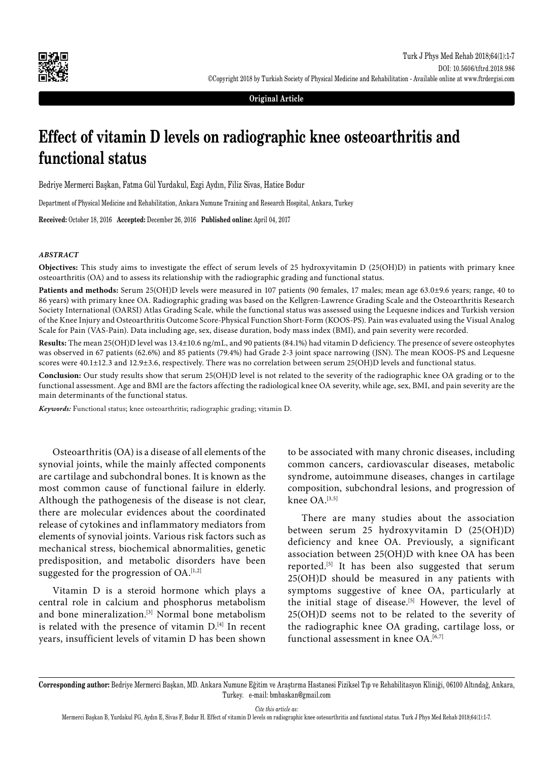

**Original Article**

# **Effect of vitamin D levels on radiographic knee osteoarthritis and functional status**

Bedriye Mermerci Başkan, Fatma Gül Yurdakul, Ezgi Aydın, Filiz Sivas, Hatice Bodur

Department of Physical Medicine and Rehabilitation, Ankara Numune Training and Research Hospital, Ankara, Turkey

**Received:** October 18, 2016 **Accepted:** December 26, 2016 **Published online:** April 04, 2017

### *ABSTRACT*

**Objectives:** This study aims to investigate the effect of serum levels of 25 hydroxyvitamin D (25(OH)D) in patients with primary knee osteoarthritis (OA) and to assess its relationship with the radiographic grading and functional status.

Patients and methods: Serum 25(OH)D levels were measured in 107 patients (90 females, 17 males; mean age 63.0±9.6 years; range, 40 to 86 years) with primary knee OA. Radiographic grading was based on the Kellgren-Lawrence Grading Scale and the Osteoarthritis Research Society International (OARSI) Atlas Grading Scale, while the functional status was assessed using the Lequesne indices and Turkish version of the Knee Injury and Osteoarthritis Outcome Score-Physical Function Short-Form (KOOS-PS). Pain was evaluated using the Visual Analog Scale for Pain (VAS-Pain). Data including age, sex, disease duration, body mass index (BMI), and pain severity were recorded.

**Results:** The mean 25(OH)D level was 13.4±10.6 ng/mL, and 90 patients (84.1%) had vitamin D deficiency. The presence of severe osteophytes was observed in 67 patients (62.6%) and 85 patients (79.4%) had Grade 2-3 joint space narrowing (JSN). The mean KOOS-PS and Lequesne scores were 40.1±12.3 and 12.9±3.6, respectively. There was no correlation between serum 25(OH)D levels and functional status.

**Conclusion:** Our study results show that serum 25(OH)D level is not related to the severity of the radiographic knee OA grading or to the functional assessment. Age and BMI are the factors affecting the radiological knee OA severity, while age, sex, BMI, and pain severity are the main determinants of the functional status.

*Keywords:* Functional status; knee osteoarthritis; radiographic grading; vitamin D.

Osteoarthritis (OA) is a disease of all elements of the synovial joints, while the mainly affected components are cartilage and subchondral bones. It is known as the most common cause of functional failure in elderly. Although the pathogenesis of the disease is not clear, there are molecular evidences about the coordinated release of cytokines and inflammatory mediators from elements of synovial joints. Various risk factors such as mechanical stress, biochemical abnormalities, genetic predisposition, and metabolic disorders have been suggested for the progression of  $OA$ .<sup>[1,2]</sup>

Vitamin D is a steroid hormone which plays a central role in calcium and phosphorus metabolism and bone mineralization.<sup>[3]</sup> Normal bone metabolism is related with the presence of vitamin  $D^{[4]}$  In recent years, insufficient levels of vitamin D has been shown to be associated with many chronic diseases, including common cancers, cardiovascular diseases, metabolic syndrome, autoimmune diseases, changes in cartilage composition, subchondral lesions, and progression of knee  $OA.$ <sup>[3,5]</sup>

There are many studies about the association between serum 25 hydroxyvitamin D (25(OH)D) deficiency and knee OA. Previously, a significant association between 25(OH)D with knee OA has been reported.[5] It has been also suggested that serum 25(OH)D should be measured in any patients with symptoms suggestive of knee OA, particularly at the initial stage of disease.<sup>[5]</sup> However, the level of 25(OH)D seems not to be related to the severity of the radiographic knee OA grading, cartilage loss, or functional assessment in knee  $OA^{[6,7]}$ 

*Cite this article as:*

**Corresponding author:** Bedriye Mermerci Başkan, MD. Ankara Numune Eğitim ve Araştırma Hastanesi Fiziksel Tıp ve Rehabilitasyon Kliniği, 06100 Altındağ, Ankara, Turkey. e-mail: bmbaskan@gmail.com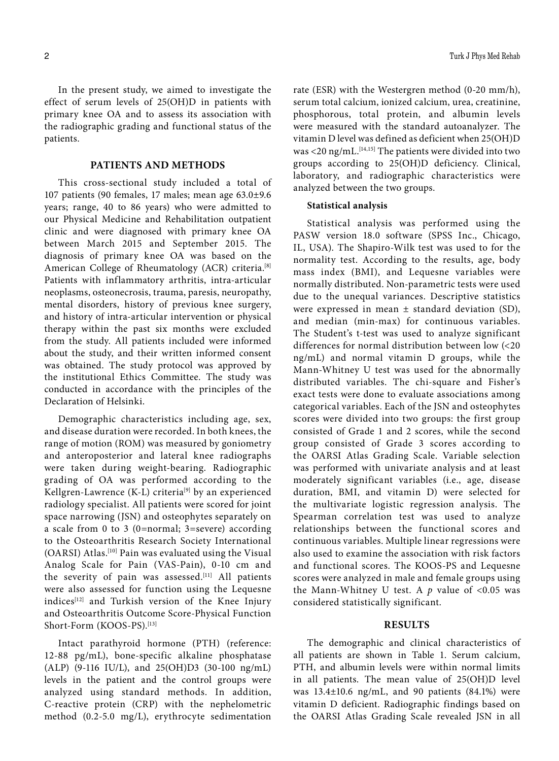In the present study, we aimed to investigate the effect of serum levels of 25(OH)D in patients with primary knee OA and to assess its association with the radiographic grading and functional status of the patients.

### **PATIENTS AND METHODS**

This cross-sectional study included a total of 107 patients (90 females, 17 males; mean age 63.0±9.6 years; range, 40 to 86 years) who were admitted to our Physical Medicine and Rehabilitation outpatient clinic and were diagnosed with primary knee OA between March 2015 and September 2015. The diagnosis of primary knee OA was based on the American College of Rheumatology (ACR) criteria.<sup>[8]</sup> Patients with inflammatory arthritis, intra-articular neoplasms, osteonecrosis, trauma, paresis, neuropathy, mental disorders, history of previous knee surgery, and history of intra-articular intervention or physical therapy within the past six months were excluded from the study. All patients included were informed about the study, and their written informed consent was obtained. The study protocol was approved by the institutional Ethics Committee. The study was conducted in accordance with the principles of the Declaration of Helsinki.

Demographic characteristics including age, sex, and disease duration were recorded. In both knees, the range of motion (ROM) was measured by goniometry and anteroposterior and lateral knee radiographs were taken during weight-bearing. Radiographic grading of OA was performed according to the Kellgren-Lawrence (K-L) criteria<sup>[9]</sup> by an experienced radiology specialist. All patients were scored for joint space narrowing (JSN) and osteophytes separately on a scale from 0 to 3 (0=normal; 3=severe) according to the Osteoarthritis Research Society International (OARSI) Atlas.[10] Pain was evaluated using the Visual Analog Scale for Pain (VAS-Pain), 0-10 cm and the severity of pain was assessed.<sup>[11]</sup> All patients were also assessed for function using the Lequesne indices<sup>[12]</sup> and Turkish version of the Knee Injury and Osteoarthritis Outcome Score-Physical Function Short-Form (KOOS-PS).<sup>[13]</sup>

Intact parathyroid hormone (PTH) (reference: 12-88 pg/mL), bone-specific alkaline phosphatase (ALP) (9-116 IU/L), and 25(OH)D3 (30-100 ng/mL) levels in the patient and the control groups were analyzed using standard methods. In addition, C-reactive protein (CRP) with the nephelometric method (0.2-5.0 mg/L), erythrocyte sedimentation rate (ESR) with the Westergren method (0-20 mm/h), serum total calcium, ionized calcium, urea, creatinine, phosphorous, total protein, and albumin levels were measured with the standard autoanalyzer. The vitamin D level was defined as deficient when 25(OH)D was <20 ng/mL.<sup>[14,15]</sup> The patients were divided into two groups according to 25(OH)D deficiency. Clinical, laboratory, and radiographic characteristics were analyzed between the two groups.

#### **Statistical analysis**

Statistical analysis was performed using the PASW version 18.0 software (SPSS Inc., Chicago, IL, USA). The Shapiro-Wilk test was used to for the normality test. According to the results, age, body mass index (BMI), and Lequesne variables were normally distributed. Non-parametric tests were used due to the unequal variances. Descriptive statistics were expressed in mean ± standard deviation (SD), and median (min-max) for continuous variables. The Student's t-test was used to analyze significant differences for normal distribution between low (<20 ng/mL) and normal vitamin D groups, while the Mann-Whitney U test was used for the abnormally distributed variables. The chi-square and Fisher's exact tests were done to evaluate associations among categorical variables. Each of the JSN and osteophytes scores were divided into two groups: the first group consisted of Grade 1 and 2 scores, while the second group consisted of Grade 3 scores according to the OARSI Atlas Grading Scale. Variable selection was performed with univariate analysis and at least moderately significant variables (i.e., age, disease duration, BMI, and vitamin D) were selected for the multivariate logistic regression analysis. The Spearman correlation test was used to analyze relationships between the functional scores and continuous variables. Multiple linear regressions were also used to examine the association with risk factors and functional scores. The KOOS-PS and Lequesne scores were analyzed in male and female groups using the Mann-Whitney U test. A  $p$  value of  $\leq 0.05$  was considered statistically significant.

### **RESULTS**

The demographic and clinical characteristics of all patients are shown in Table 1. Serum calcium, PTH, and albumin levels were within normal limits in all patients. The mean value of 25(OH)D level was 13.4±10.6 ng/mL, and 90 patients (84.1%) were vitamin D deficient. Radiographic findings based on the OARSI Atlas Grading Scale revealed JSN in all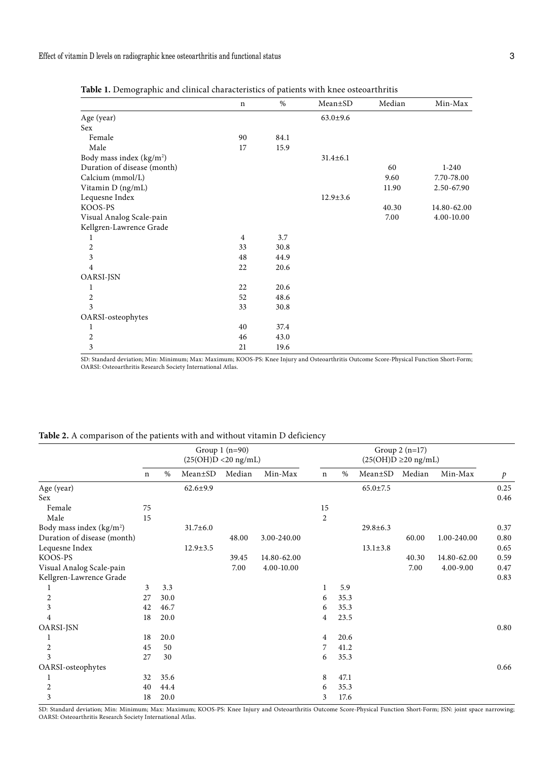| $\circ$<br>. T              |                |      |                |        |             |
|-----------------------------|----------------|------|----------------|--------|-------------|
|                             | $\mathbf n$    | %    | Mean±SD        | Median | Min-Max     |
| Age (year)                  |                |      | $63.0 \pm 9.6$ |        |             |
| <b>Sex</b>                  |                |      |                |        |             |
| Female                      | 90             | 84.1 |                |        |             |
| Male                        | 17             | 15.9 |                |        |             |
| Body mass index $(kg/m2)$   |                |      | $31.4 \pm 6.1$ |        |             |
| Duration of disease (month) |                |      |                | 60     | $1 - 240$   |
| Calcium (mmol/L)            |                |      |                | 9.60   | 7.70-78.00  |
| Vitamin D (ng/mL)           |                |      |                | 11.90  | 2.50-67.90  |
| Lequesne Index              |                |      | $12.9 \pm 3.6$ |        |             |
| KOOS-PS                     |                |      |                | 40.30  | 14.80-62.00 |
| Visual Analog Scale-pain    |                |      |                | 7.00   | 4.00-10.00  |
| Kellgren-Lawrence Grade     |                |      |                |        |             |
| 1                           | $\overline{4}$ | 3.7  |                |        |             |
| $\overline{c}$              | 33             | 30.8 |                |        |             |
| $\overline{\mathbf{3}}$     | 48             | 44.9 |                |        |             |
| $\overline{4}$              | 22             | 20.6 |                |        |             |
| OARSI-JSN                   |                |      |                |        |             |
| 1                           | 22             | 20.6 |                |        |             |
| $\overline{2}$              | 52             | 48.6 |                |        |             |
| 3                           | 33             | 30.8 |                |        |             |
| OARSI-osteophytes           |                |      |                |        |             |
| 1                           | 40             | 37.4 |                |        |             |
| $\overline{c}$              | 46             | 43.0 |                |        |             |
| 3                           | 21             | 19.6 |                |        |             |
|                             |                |      |                |        |             |

**Table 1.** Demographic and clinical characteristics of patients with knee osteoarthritis

SD: Standard deviation; Min: Minimum; Max: Maximum; KOOS-PS: Knee Injury and Osteoarthritis Outcome Score-Physical Function Short-Form;<br>OARSI: Osteoarthritis Research Society International Atlas.

| <b>Table 2.</b> A comparison of the patients with and without vitamin D deficiency |  |  |  |  |
|------------------------------------------------------------------------------------|--|--|--|--|
|------------------------------------------------------------------------------------|--|--|--|--|

|                                      | Group $1(n=90)$<br>$(25(OH)D < 20$ ng/mL) |      |                | Group $2(n=17)$<br>$(25(OH)D \ge 20 ng/mL)$ |             |                |      |                |        |             |               |
|--------------------------------------|-------------------------------------------|------|----------------|---------------------------------------------|-------------|----------------|------|----------------|--------|-------------|---------------|
|                                      | $\mathbf n$                               | %    | Mean±SD        | Median                                      | Min-Max     | $\mathbf n$    | $\%$ | Mean±SD        | Median | Min-Max     | $\mathcal{P}$ |
| Age (year)                           |                                           |      | $62.6 \pm 9.9$ |                                             |             |                |      | $65.0 \pm 7.5$ |        |             | 0.25          |
| <b>Sex</b>                           |                                           |      |                |                                             |             |                |      |                |        |             | 0.46          |
| Female                               | 75                                        |      |                |                                             |             | 15             |      |                |        |             |               |
| Male                                 | 15                                        |      |                |                                             |             | 2              |      |                |        |             |               |
| Body mass index (kg/m <sup>2</sup> ) |                                           |      | $31.7 \pm 6.0$ |                                             |             |                |      | $29.8 \pm 6.3$ |        |             | 0.37          |
| Duration of disease (month)          |                                           |      |                | 48.00                                       | 3.00-240.00 |                |      |                | 60.00  | 1.00-240.00 | 0.80          |
| Lequesne Index                       |                                           |      | $12.9 \pm 3.5$ |                                             |             |                |      | $13.1 \pm 3.8$ |        |             | 0.65          |
| KOOS-PS                              |                                           |      |                | 39.45                                       | 14.80-62.00 |                |      |                | 40.30  | 14.80-62.00 | 0.59          |
| Visual Analog Scale-pain             |                                           |      |                | 7.00                                        | 4.00-10.00  |                |      |                | 7.00   | 4.00-9.00   | 0.47          |
| Kellgren-Lawrence Grade              |                                           |      |                |                                             |             |                |      |                |        |             | 0.83          |
| 1                                    | 3                                         | 3.3  |                |                                             |             | 1              | 5.9  |                |        |             |               |
| $\overline{c}$                       | 27                                        | 30.0 |                |                                             |             | 6              | 35.3 |                |        |             |               |
| 3                                    | 42                                        | 46.7 |                |                                             |             | 6              | 35.3 |                |        |             |               |
| $\overline{4}$                       | 18                                        | 20.0 |                |                                             |             | 4              | 23.5 |                |        |             |               |
| <b>OARSI-JSN</b>                     |                                           |      |                |                                             |             |                |      |                |        |             | 0.80          |
| 1                                    | 18                                        | 20.0 |                |                                             |             | $\overline{4}$ | 20.6 |                |        |             |               |
| $\boldsymbol{2}$                     | 45                                        | 50   |                |                                             |             | 7              | 41.2 |                |        |             |               |
| 3                                    | 27                                        | 30   |                |                                             |             | 6              | 35.3 |                |        |             |               |
| OARSI-osteophytes                    |                                           |      |                |                                             |             |                |      |                |        |             | 0.66          |
| 1                                    | 32                                        | 35.6 |                |                                             |             | 8              | 47.1 |                |        |             |               |
| $\overline{c}$                       | 40                                        | 44.4 |                |                                             |             | 6              | 35.3 |                |        |             |               |
| 3                                    | 18                                        | 20.0 |                |                                             |             | 3              | 17.6 |                |        |             |               |

SD: Standard deviation; Min: Minimum; Max: Maximum; KOOS-PS: Knee Injury and Osteoarthritis Outcome Score-Physical Function Short-Form; JSN: joint space narrowing; OARSI: Osteoarthritis Research Society International Atlas.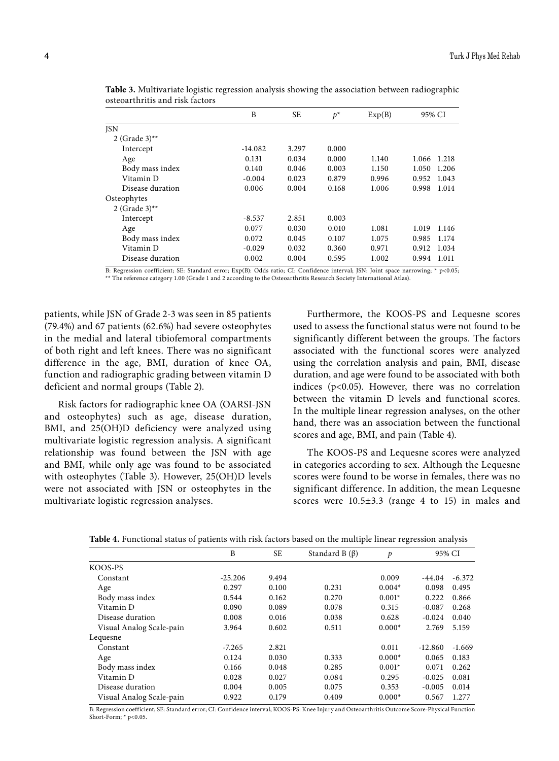|                  | B         | <b>SE</b> | $p^*$ | Exp(B) | 95% CI |       |
|------------------|-----------|-----------|-------|--------|--------|-------|
| <b>JSN</b>       |           |           |       |        |        |       |
| 2 (Grade $3$ )** |           |           |       |        |        |       |
| Intercept        | $-14.082$ | 3.297     | 0.000 |        |        |       |
| Age              | 0.131     | 0.034     | 0.000 | 1.140  | 1.066  | 1.218 |
| Body mass index  | 0.140     | 0.046     | 0.003 | 1.150  | 1.050  | 1.206 |
| Vitamin D        | $-0.004$  | 0.023     | 0.879 | 0.996  | 0.952  | 1.043 |
| Disease duration | 0.006     | 0.004     | 0.168 | 1.006  | 0.998  | 1.014 |
| Osteophytes      |           |           |       |        |        |       |
| 2 (Grade $3$ )** |           |           |       |        |        |       |
| Intercept        | $-8.537$  | 2.851     | 0.003 |        |        |       |
| Age              | 0.077     | 0.030     | 0.010 | 1.081  | 1.019  | 1.146 |
| Body mass index  | 0.072     | 0.045     | 0.107 | 1.075  | 0.985  | 1.174 |
| Vitamin D        | $-0.029$  | 0.032     | 0.360 | 0.971  | 0.912  | 1.034 |
| Disease duration | 0.002     | 0.004     | 0.595 | 1.002  | 0.994  | 1.011 |

**Table 3.** Multivariate logistic regression analysis showing the association between radiographic osteoarthritis and risk factors

B: Regression coefficient; SE: Standard error; Exp(B): Odds ratio; CI: Confidence interval; JSN: Joint space narrowing; \* p<0.05; \*\* The reference category 1.00 (Grade 1 and 2 according to the Osteoarthritis Research Society International Atlas).

patients, while JSN of Grade 2-3 was seen in 85 patients (79.4%) and 67 patients (62.6%) had severe osteophytes in the medial and lateral tibiofemoral compartments of both right and left knees. There was no significant difference in the age, BMI, duration of knee OA, function and radiographic grading between vitamin D deficient and normal groups (Table 2).

Risk factors for radiographic knee OA (OARSI-JSN and osteophytes) such as age, disease duration, BMI, and 25(OH)D deficiency were analyzed using multivariate logistic regression analysis. A significant relationship was found between the JSN with age and BMI, while only age was found to be associated with osteophytes (Table 3). However, 25(OH)D levels were not associated with JSN or osteophytes in the multivariate logistic regression analyses.

Furthermore, the KOOS-PS and Lequesne scores used to assess the functional status were not found to be significantly different between the groups. The factors associated with the functional scores were analyzed using the correlation analysis and pain, BMI, disease duration, and age were found to be associated with both indices (p<0.05). However, there was no correlation between the vitamin D levels and functional scores. In the multiple linear regression analyses, on the other hand, there was an association between the functional scores and age, BMI, and pain (Table 4).

The KOOS-PS and Lequesne scores were analyzed in categories according to sex. Although the Lequesne scores were found to be worse in females, there was no significant difference. In addition, the mean Lequesne scores were 10.5±3.3 (range 4 to 15) in males and

| Table 4. Functional status of patients with risk factors based on the multiple linear regression analysis |  |  |  |  |  |  |
|-----------------------------------------------------------------------------------------------------------|--|--|--|--|--|--|
|-----------------------------------------------------------------------------------------------------------|--|--|--|--|--|--|

|                          | B         | <b>SE</b> | Standard B $(\beta)$ | p        | 95% CI    |          |
|--------------------------|-----------|-----------|----------------------|----------|-----------|----------|
| KOOS-PS                  |           |           |                      |          |           |          |
| Constant                 | $-25.206$ | 9.494     |                      | 0.009    | -44.04    | $-6.372$ |
| Age                      | 0.297     | 0.100     | 0.231                | $0.004*$ | 0.098     | 0.495    |
| Body mass index          | 0.544     | 0.162     | 0.270                | $0.001*$ | 0.222     | 0.866    |
| Vitamin D                | 0.090     | 0.089     | 0.078                | 0.315    | $-0.087$  | 0.268    |
| Disease duration         | 0.008     | 0.016     | 0.038                | 0.628    | $-0.024$  | 0.040    |
| Visual Analog Scale-pain | 3.964     | 0.602     | 0.511                | $0.000*$ | 2.769     | 5.159    |
| Lequesne                 |           |           |                      |          |           |          |
| Constant                 | $-7.265$  | 2.821     |                      | 0.011    | $-12.860$ | $-1.669$ |
| Age                      | 0.124     | 0.030     | 0.333                | $0.000*$ | 0.065     | 0.183    |
| Body mass index          | 0.166     | 0.048     | 0.285                | $0.001*$ | 0.071     | 0.262    |
| Vitamin D                | 0.028     | 0.027     | 0.084                | 0.295    | $-0.025$  | 0.081    |
| Disease duration         | 0.004     | 0.005     | 0.075                | 0.353    | $-0.005$  | 0.014    |
| Visual Analog Scale-pain | 0.922     | 0.179     | 0.409                | $0.000*$ | 0.567     | 1.277    |

B: Regression coefficient; SE: Standard error; CI: Confidence interval; KOOS-PS: Knee Injury and Osteoarthritis Outcome Score-Physical Function Short-Form; \* p<0.05.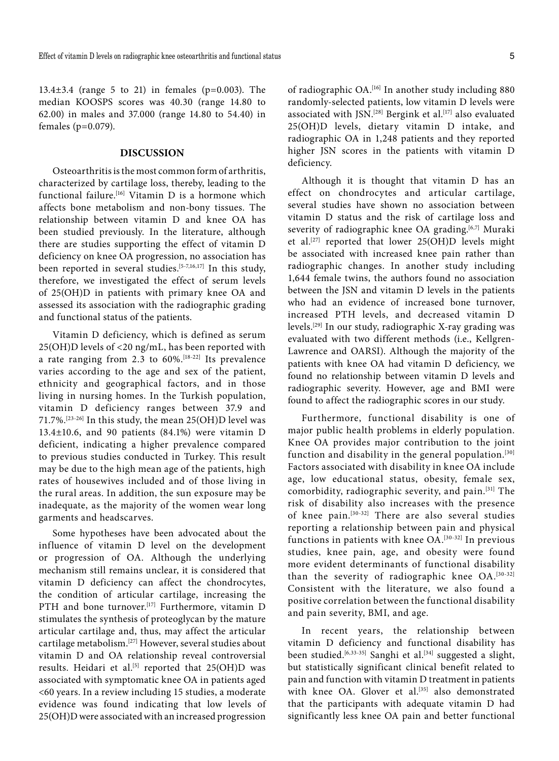13.4±3.4 (range 5 to 21) in females (p=0.003). The median KOOSPS scores was 40.30 (range 14.80 to 62.00) in males and 37.000 (range 14.80 to 54.40) in females (p=0.079).

## **DISCUSSION**

Osteoarthritis is the most common form of arthritis, characterized by cartilage loss, thereby, leading to the functional failure.<sup>[16]</sup> Vitamin D is a hormone which affects bone metabolism and non-bony tissues. The relationship between vitamin D and knee OA has been studied previously. In the literature, although there are studies supporting the effect of vitamin D deficiency on knee OA progression, no association has been reported in several studies.[5-7,16,17] In this study, therefore, we investigated the effect of serum levels of 25(OH)D in patients with primary knee OA and assessed its association with the radiographic grading and functional status of the patients.

Vitamin D deficiency, which is defined as serum 25(OH)D levels of <20 ng/mL, has been reported with a rate ranging from 2.3 to 60%.[18-22] Its prevalence varies according to the age and sex of the patient, ethnicity and geographical factors, and in those living in nursing homes. In the Turkish population, vitamin D deficiency ranges between 37.9 and 71.7%.[23-26] In this study, the mean 25(OH)D level was 13.4±10.6, and 90 patients (84.1%) were vitamin D deficient, indicating a higher prevalence compared to previous studies conducted in Turkey. This result may be due to the high mean age of the patients, high rates of housewives included and of those living in the rural areas. In addition, the sun exposure may be inadequate, as the majority of the women wear long garments and headscarves.

Some hypotheses have been advocated about the influence of vitamin D level on the development or progression of OA. Although the underlying mechanism still remains unclear, it is considered that vitamin D deficiency can affect the chondrocytes, the condition of articular cartilage, increasing the PTH and bone turnover.<sup>[17]</sup> Furthermore, vitamin D stimulates the synthesis of proteoglycan by the mature articular cartilage and, thus, may affect the articular cartilage metabolism.[27] However, several studies about vitamin D and OA relationship reveal controversial results. Heidari et al.<sup>[5]</sup> reported that 25(OH)D was associated with symptomatic knee OA in patients aged <60 years. In a review including 15 studies, a moderate evidence was found indicating that low levels of 25(OH)D were associated with an increased progression

of radiographic OA.<sup>[16]</sup> In another study including 880 randomly-selected patients, low vitamin D levels were associated with JSN.<sup>[28]</sup> Bergink et al.<sup>[17]</sup> also evaluated 25(OH)D levels, dietary vitamin D intake, and radiographic OA in 1,248 patients and they reported higher JSN scores in the patients with vitamin D deficiency.

Although it is thought that vitamin D has an effect on chondrocytes and articular cartilage, several studies have shown no association between vitamin D status and the risk of cartilage loss and severity of radiographic knee OA grading.<sup>[6,7]</sup> Muraki et al.[27] reported that lower 25(OH)D levels might be associated with increased knee pain rather than radiographic changes. In another study including 1,644 female twins, the authors found no association between the JSN and vitamin D levels in the patients who had an evidence of increased bone turnover, increased PTH levels, and decreased vitamin D levels.[29] In our study, radiographic X-ray grading was evaluated with two different methods (i.e., Kellgren-Lawrence and OARSI). Although the majority of the patients with knee OA had vitamin D deficiency, we found no relationship between vitamin D levels and radiographic severity. However, age and BMI were found to affect the radiographic scores in our study.

Furthermore, functional disability is one of major public health problems in elderly population. Knee OA provides major contribution to the joint function and disability in the general population.<sup>[30]</sup> Factors associated with disability in knee OA include age, low educational status, obesity, female sex, comorbidity, radiographic severity, and pain.[31] The risk of disability also increases with the presence of knee pain.[30-32] There are also several studies reporting a relationship between pain and physical functions in patients with knee OA.[30-32] In previous studies, knee pain, age, and obesity were found more evident determinants of functional disability than the severity of radiographic knee OA.<sup>[30-32]</sup> Consistent with the literature, we also found a positive correlation between the functional disability and pain severity, BMI, and age.

In recent years, the relationship between vitamin D deficiency and functional disability has been studied.<sup>[6,33-35]</sup> Sanghi et al.<sup>[34]</sup> suggested a slight, but statistically significant clinical benefit related to pain and function with vitamin D treatment in patients with knee OA. Glover et al.<sup>[35]</sup> also demonstrated that the participants with adequate vitamin D had significantly less knee OA pain and better functional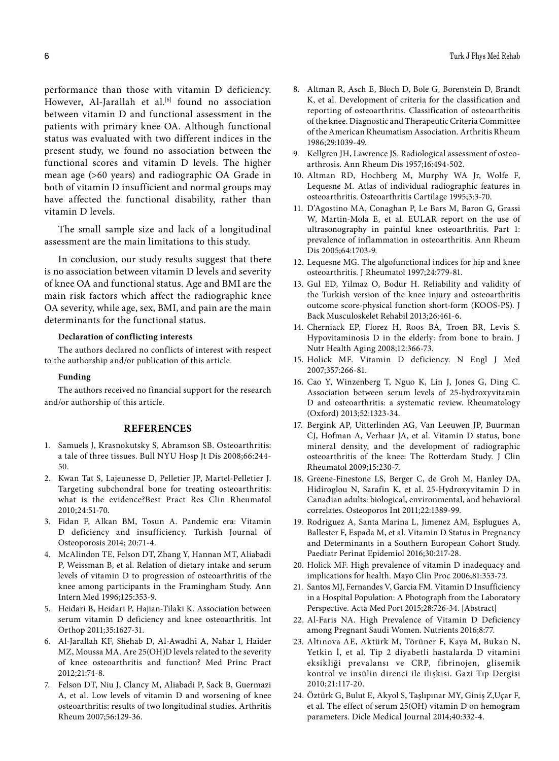performance than those with vitamin D deficiency. However, Al-Jarallah et al.<sup>[6]</sup> found no association between vitamin D and functional assessment in the patients with primary knee OA. Although functional status was evaluated with two different indices in the present study, we found no association between the functional scores and vitamin D levels. The higher mean age (>60 years) and radiographic OA Grade in both of vitamin D insufficient and normal groups may have affected the functional disability, rather than vitamin D levels.

The small sample size and lack of a longitudinal assessment are the main limitations to this study.

In conclusion, our study results suggest that there is no association between vitamin D levels and severity of knee OA and functional status. Age and BMI are the main risk factors which affect the radiographic knee OA severity, while age, sex, BMI, and pain are the main determinants for the functional status.

### **Declaration of conflicting interests**

The authors declared no conflicts of interest with respect to the authorship and/or publication of this article.

#### **Funding**

The authors received no financial support for the research and/or authorship of this article.

#### **REFERENCES**

- 1. Samuels J, Krasnokutsky S, Abramson SB. Osteoarthritis: a tale of three tissues. Bull NYU Hosp Jt Dis 2008;66:244- 50.
- 2. Kwan Tat S, Lajeunesse D, Pelletier JP, Martel-Pelletier J. Targeting subchondral bone for treating osteoarthritis: what is the evidence?Best Pract Res Clin Rheumatol 2010;24:51-70.
- 3. Fidan F, Alkan BM, Tosun A. Pandemic era: Vitamin D deficiency and insufficiency. Turkish Journal of Osteoporosis 2014; 20:71-4.
- 4. McAlindon TE, Felson DT, Zhang Y, Hannan MT, Aliabadi P, Weissman B, et al. Relation of dietary intake and serum levels of vitamin D to progression of osteoarthritis of the knee among participants in the Framingham Study. Ann Intern Med 1996;125:353-9.
- 5. Heidari B, Heidari P, Hajian-Tilaki K. Association between serum vitamin D deficiency and knee osteoarthritis. Int Orthop 2011;35:1627-31.
- 6. Al-Jarallah KF, Shehab D, Al-Awadhi A, Nahar I, Haider MZ, Moussa MA. Are 25(OH)D levels related to the severity of knee osteoarthritis and function? Med Princ Pract 2012;21:74-8.
- 7. Felson DT, Niu J, Clancy M, Aliabadi P, Sack B, Guermazi A, et al. Low levels of vitamin D and worsening of knee osteoarthritis: results of two longitudinal studies. Arthritis Rheum 2007;56:129-36.
- 8. Altman R, Asch E, Bloch D, Bole G, Borenstein D, Brandt K, et al. Development of criteria for the classification and reporting of osteoarthritis. Classification of osteoarthritis of the knee. Diagnostic and Therapeutic Criteria Committee of the American Rheumatism Association. Arthritis Rheum 1986;29:1039-49.
- 9. Kellgren JH, Lawrence JS. Radiological assessment of osteoarthrosis. Ann Rheum Dis 1957;16:494-502.
- 10. Altman RD, Hochberg M, Murphy WA Jr, Wolfe F, Lequesne M. Atlas of individual radiographic features in osteoarthritis. Osteoarthritis Cartilage 1995;3:3-70.
- 11. D'Agostino MA, Conaghan P, Le Bars M, Baron G, Grassi W, Martin-Mola E, et al. EULAR report on the use of ultrasonography in painful knee osteoarthritis. Part 1: prevalence of inflammation in osteoarthritis. Ann Rheum Dis 2005;64:1703-9.
- 12. Lequesne MG. The algofunctional indices for hip and knee osteoarthritis. J Rheumatol 1997;24:779-81.
- 13. Gul ED, Yilmaz O, Bodur H. Reliability and validity of the Turkish version of the knee injury and osteoarthritis outcome score-physical function short-form (KOOS-PS). J Back Musculoskelet Rehabil 2013;26:461-6.
- 14. Cherniack EP, Florez H, Roos BA, Troen BR, Levis S. Hypovitaminosis D in the elderly: from bone to brain. J Nutr Health Aging 2008;12:366-73.
- 15. Holick MF. Vitamin D deficiency. N Engl J Med 2007;357:266-81.
- 16. Cao Y, Winzenberg T, Nguo K, Lin J, Jones G, Ding C. Association between serum levels of 25-hydroxyvitamin D and osteoarthritis: a systematic review. Rheumatology (Oxford) 2013;52:1323-34.
- 17. Bergink AP, Uitterlinden AG, Van Leeuwen JP, Buurman CJ, Hofman A, Verhaar JA, et al. Vitamin D status, bone mineral density, and the development of radiographic osteoarthritis of the knee: The Rotterdam Study. J Clin Rheumatol 2009;15:230-7.
- 18. Greene-Finestone LS, Berger C, de Groh M, Hanley DA, Hidiroglou N, Sarafin K, et al. 25-Hydroxyvitamin D in Canadian adults: biological, environmental, and behavioral correlates. Osteoporos Int 2011;22:1389-99.
- 19. Rodriguez A, Santa Marina L, Jimenez AM, Esplugues A, Ballester F, Espada M, et al. Vitamin D Status in Pregnancy and Determinants in a Southern European Cohort Study. Paediatr Perinat Epidemiol 2016;30:217-28.
- 20. Holick MF. High prevalence of vitamin D inadequacy and implications for health. Mayo Clin Proc 2006;81:353-73.
- 21. Santos MJ, Fernandes V, Garcia FM. Vitamin D Insufficiency in a Hospital Population: A Photograph from the Laboratory Perspective. Acta Med Port 2015;28:726-34. [Abstract]
- 22. Al-Faris NA. High Prevalence of Vitamin D Deficiency among Pregnant Saudi Women. Nutrients 2016;8:77.
- 23. Altınova AE, Aktürk M, Törüner F, Kaya M, Bukan N, Yetkin İ, et al. Tip 2 diyabetli hastalarda D vitamini eksikliği prevalansı ve CRP, fibrinojen, glisemik kontrol ve insülin direnci ile ilişkisi. Gazi Tıp Dergisi 2010;21:117-20.
- 24. Öztürk G, Bulut E, Akyol S, Taşlıpınar MY, Giniş Z,Uçar F, et al. The effect of serum 25(OH) vitamin D on hemogram parameters. Dicle Medical Journal 2014;40:332-4.